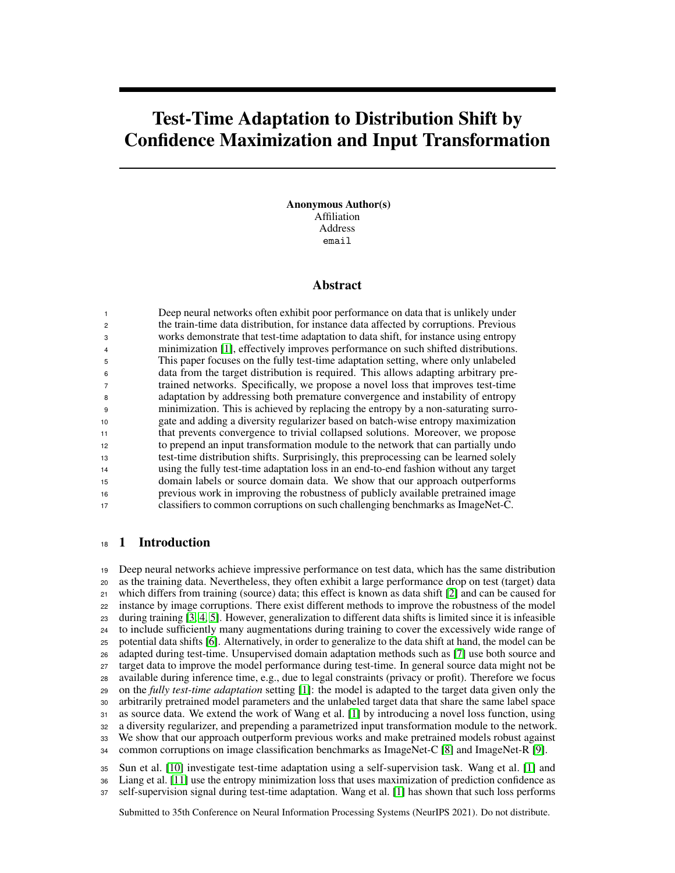# Test-Time Adaptation to Distribution Shift by Confidence Maximization and Input Transformation

Anonymous Author(s) Affiliation Address email

## Abstract

 Deep neural networks often exhibit poor performance on data that is unlikely under the train-time data distribution, for instance data affected by corruptions. Previous works demonstrate that test-time adaptation to data shift, for instance using entropy minimization [\[1\]](#page-9-0), effectively improves performance on such shifted distributions. This paper focuses on the fully test-time adaptation setting, where only unlabeled data from the target distribution is required. This allows adapting arbitrary pre- trained networks. Specifically, we propose a novel loss that improves test-time adaptation by addressing both premature convergence and instability of entropy minimization. This is achieved by replacing the entropy by a non-saturating surro- gate and adding a diversity regularizer based on batch-wise entropy maximization that prevents convergence to trivial collapsed solutions. Moreover, we propose to prepend an input transformation module to the network that can partially undo test-time distribution shifts. Surprisingly, this preprocessing can be learned solely using the fully test-time adaptation loss in an end-to-end fashion without any target domain labels or source domain data. We show that our approach outperforms previous work in improving the robustness of publicly available pretrained image classifiers to common corruptions on such challenging benchmarks as ImageNet-C.

## 1 Introduction

 Deep neural networks achieve impressive performance on test data, which has the same distribution as the training data. Nevertheless, they often exhibit a large performance drop on test (target) data which differs from training (source) data; this effect is known as data shift [\[2\]](#page-9-1) and can be caused for instance by image corruptions. There exist different methods to improve the robustness of the model during training [\[3,](#page-9-2) [4,](#page-9-3) [5\]](#page-9-4). However, generalization to different data shifts is limited since it is infeasible to include sufficiently many augmentations during training to cover the excessively wide range of potential data shifts [\[6\]](#page-9-5). Alternatively, in order to generalize to the data shift at hand, the model can be adapted during test-time. Unsupervised domain adaptation methods such as [\[7\]](#page-9-6) use both source and target data to improve the model performance during test-time. In general source data might not be available during inference time, e.g., due to legal constraints (privacy or profit). Therefore we focus on the *fully test-time adaptation* setting [\[1\]](#page-9-0): the model is adapted to the target data given only the arbitrarily pretrained model parameters and the unlabeled target data that share the same label space as source data. We extend the work of Wang et al. [\[1\]](#page-9-0) by introducing a novel loss function, using a diversity regularizer, and prepending a parametrized input transformation module to the network. We show that our approach outperform previous works and make pretrained models robust against common corruptions on image classification benchmarks as ImageNet-C [\[8\]](#page-9-7) and ImageNet-R [\[9\]](#page-9-8).

 Sun et al. [\[10\]](#page-9-9) investigate test-time adaptation using a self-supervision task. Wang et al. [\[1\]](#page-9-0) and Liang et al. [\[11\]](#page-9-10) use the entropy minimization loss that uses maximization of prediction confidence as self-supervision signal during test-time adaptation. Wang et al. [\[1\]](#page-9-0) has shown that such loss performs

Submitted to 35th Conference on Neural Information Processing Systems (NeurIPS 2021). Do not distribute.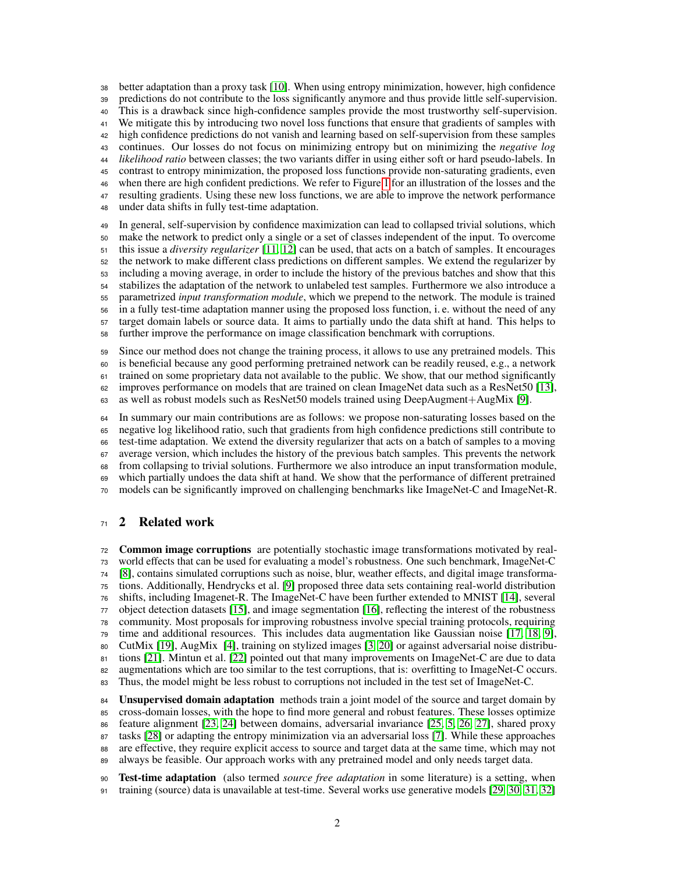better adaptation than a proxy task [\[10\]](#page-9-9). When using entropy minimization, however, high confidence predictions do not contribute to the loss significantly anymore and thus provide little self-supervision. This is a drawback since high-confidence samples provide the most trustworthy self-supervision. We mitigate this by introducing two novel loss functions that ensure that gradients of samples with high confidence predictions do not vanish and learning based on self-supervision from these samples continues. Our losses do not focus on minimizing entropy but on minimizing the *negative log likelihood ratio* between classes; the two variants differ in using either soft or hard pseudo-labels. In contrast to entropy minimization, the proposed loss functions provide non-saturating gradients, even when there are high confident predictions. We refer to Figure [1](#page-4-0) for an illustration of the losses and the resulting gradients. Using these new loss functions, we are able to improve the network performance under data shifts in fully test-time adaptation. In general, self-supervision by confidence maximization can lead to collapsed trivial solutions, which

 make the network to predict only a single or a set of classes independent of the input. To overcome this issue a *diversity regularizer* [\[11,](#page-9-10) [12\]](#page-9-11) can be used, that acts on a batch of samples. It encourages the network to make different class predictions on different samples. We extend the regularizer by including a moving average, in order to include the history of the previous batches and show that this stabilizes the adaptation of the network to unlabeled test samples. Furthermore we also introduce a parametrized *input transformation module*, which we prepend to the network. The module is trained in a fully test-time adaptation manner using the proposed loss function, i. e. without the need of any target domain labels or source data. It aims to partially undo the data shift at hand. This helps to further improve the performance on image classification benchmark with corruptions.

Since our method does not change the training process, it allows to use any pretrained models. This

 is beneficial because any good performing pretrained network can be readily reused, e.g., a network trained on some proprietary data not available to the public. We show, that our method significantly

improves performance on models that are trained on clean ImageNet data such as a ResNet50 [\[13\]](#page-9-12),

as well as robust models such as ResNet50 models trained using DeepAugment+AugMix [\[9\]](#page-9-8).

 In summary our main contributions are as follows: we propose non-saturating losses based on the negative log likelihood ratio, such that gradients from high confidence predictions still contribute to test-time adaptation. We extend the diversity regularizer that acts on a batch of samples to a moving average version, which includes the history of the previous batch samples. This prevents the network from collapsing to trivial solutions. Furthermore we also introduce an input transformation module, which partially undoes the data shift at hand. We show that the performance of different pretrained models can be significantly improved on challenging benchmarks like ImageNet-C and ImageNet-R.

# 2 Related work

 Common image corruptions are potentially stochastic image transformations motivated by real- world effects that can be used for evaluating a model's robustness. One such benchmark, ImageNet-C [\[8\]](#page-9-7), contains simulated corruptions such as noise, blur, weather effects, and digital image transforma- tions. Additionally, Hendrycks et al. [\[9\]](#page-9-8) proposed three data sets containing real-world distribution shifts, including Imagenet-R. The ImageNet-C have been further extended to MNIST [\[14\]](#page-9-13), several object detection datasets [\[15\]](#page-9-14), and image segmentation [\[16\]](#page-9-15), reflecting the interest of the robustness community. Most proposals for improving robustness involve special training protocols, requiring time and additional resources. This includes data augmentation like Gaussian noise [\[17,](#page-9-16) [18,](#page-10-0) [9\]](#page-9-8), CutMix [\[19\]](#page-10-1), AugMix [\[4\]](#page-9-3), training on stylized images [\[3,](#page-9-2) [20\]](#page-10-2) or against adversarial noise distribu- tions [\[21\]](#page-10-3). Mintun et al. [\[22\]](#page-10-4) pointed out that many improvements on ImageNet-C are due to data augmentations which are too similar to the test corruptions, that is: overfitting to ImageNet-C occurs. 83 Thus, the model might be less robust to corruptions not included in the test set of ImageNet-C.

**Unsupervised domain adaptation** methods train a joint model of the source and target domain by cross-domain losses, with the hope to find more general and robust features. These losses optimize feature alignment [\[23,](#page-10-5) [24\]](#page-10-6) between domains, adversarial invariance [\[25,](#page-10-7) [5,](#page-9-4) [26,](#page-10-8) [27\]](#page-10-9), shared proxy tasks [\[28\]](#page-10-10) or adapting the entropy minimization via an adversarial loss [\[7\]](#page-9-6). While these approaches are effective, they require explicit access to source and target data at the same time, which may not always be feasible. Our approach works with any pretrained model and only needs target data.

 Test-time adaptation (also termed *source free adaptation* in some literature) is a setting, when training (source) data is unavailable at test-time. Several works use generative models [\[29,](#page-10-11) [30,](#page-10-12) [31,](#page-10-13) [32\]](#page-10-14)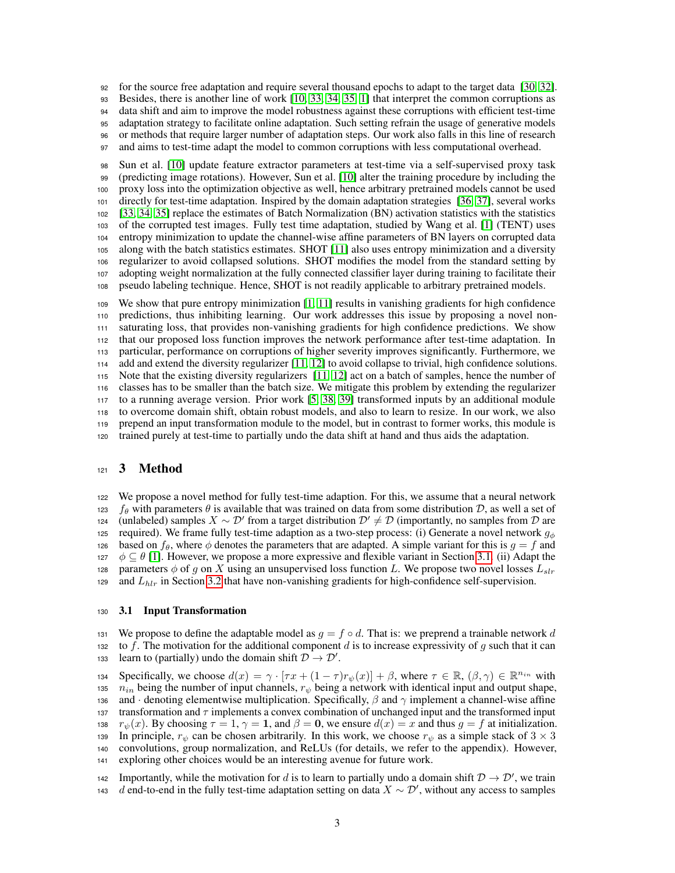for the source free adaptation and require several thousand epochs to adapt to the target data [\[30,](#page-10-12) [32\]](#page-10-14).

Besides, there is another line of work [\[10,](#page-9-9) [33,](#page-10-15) [34,](#page-10-16) [35,](#page-10-17) [1\]](#page-9-0) that interpret the common corruptions as

data shift and aim to improve the model robustness against these corruptions with efficient test-time

 adaptation strategy to facilitate online adaptation. Such setting refrain the usage of generative models or methods that require larger number of adaptation steps. Our work also falls in this line of research

and aims to test-time adapt the model to common corruptions with less computational overhead.

 Sun et al. [\[10\]](#page-9-9) update feature extractor parameters at test-time via a self-supervised proxy task (predicting image rotations). However, Sun et al. [\[10\]](#page-9-9) alter the training procedure by including the proxy loss into the optimization objective as well, hence arbitrary pretrained models cannot be used directly for test-time adaptation. Inspired by the domain adaptation strategies [\[36,](#page-11-0) [37\]](#page-11-1), several works [\[33,](#page-10-15) [34,](#page-10-16) [35\]](#page-10-17) replace the estimates of Batch Normalization (BN) activation statistics with the statistics of the corrupted test images. Fully test time adaptation, studied by Wang et al. [\[1\]](#page-9-0) (TENT) uses entropy minimization to update the channel-wise affine parameters of BN layers on corrupted data along with the batch statistics estimates. SHOT [\[11\]](#page-9-10) also uses entropy minimization and a diversity regularizer to avoid collapsed solutions. SHOT modifies the model from the standard setting by adopting weight normalization at the fully connected classifier layer during training to facilitate their pseudo labeling technique. Hence, SHOT is not readily applicable to arbitrary pretrained models.

 We show that pure entropy minimization [\[1,](#page-9-0) [11\]](#page-9-10) results in vanishing gradients for high confidence predictions, thus inhibiting learning. Our work addresses this issue by proposing a novel non- saturating loss, that provides non-vanishing gradients for high confidence predictions. We show that our proposed loss function improves the network performance after test-time adaptation. In particular, performance on corruptions of higher severity improves significantly. Furthermore, we add and extend the diversity regularizer [\[11,](#page-9-10) [12\]](#page-9-11) to avoid collapse to trivial, high confidence solutions. Note that the existing diversity regularizers [\[11,](#page-9-10) [12\]](#page-9-11) act on a batch of samples, hence the number of classes has to be smaller than the batch size. We mitigate this problem by extending the regularizer to a running average version. Prior work [\[5,](#page-9-4) [38,](#page-11-2) [39\]](#page-11-3) transformed inputs by an additional module to overcome domain shift, obtain robust models, and also to learn to resize. In our work, we also prepend an input transformation module to the model, but in contrast to former works, this module is trained purely at test-time to partially undo the data shift at hand and thus aids the adaptation.

# 121 3 Method

 We propose a novel method for fully test-time adaption. For this, we assume that a neural network 123 *f<sub>θ</sub>* with parameters *θ* is available that was trained on data from some distribution D, as well a set of 124 (unlabeled) samples  $X \sim \mathcal{D}'$  from a target distribution  $\mathcal{D}' \neq \mathcal{D}$  (importantly, no samples fro 124 (unlabeled) samples  $X \sim \mathcal{D}'$  from a target distribution  $\mathcal{D}' \neq \mathcal{D}$  (importantly, no samples from  $\mathcal{D}$  are 125 required). We frame fully test-time adaption as a two-step process: (i) Generate a novel network  $g_{\phi}$ 126 based on  $f_\theta$ , where  $\phi$  denotes the parameters that are adapted. A simple variant for this is  $g = f$  and 127  $\phi \subseteq \theta$  [\[1\]](#page-9-0). However, we propose a more expressive and flexible variant in Section [3.1.](#page-2-0) (ii) Adapt the parameters  $\phi$  of q on X using an unsupervised loss function L. We propose two novel losses  $L_{str}$ parameters  $\phi$  of g on X using an unsupervised loss function L. We propose two novel losses  $L_{str}$ 129 and  $L_{hlr}$  in Section [3.2](#page-3-0) that have non-vanishing gradients for high-confidence self-supervision.

#### <span id="page-2-0"></span>3.1 Input Transformation

131 We propose to define the adaptable model as  $g = f \circ d$ . That is: we preprend a trainable network d<br>132 to f. The motivation for the additional component d is to increase expressivity of q such that it can to f. The motivation for the additional component d is to increase expressivity of q such that it can learn to (partially) undo the domain shift  $\mathcal{D} \to \mathcal{D}'$ .

specifically, we choose  $d(x) = \gamma \cdot [\tau x + (1 - \tau) r_{\psi}(x)] + \beta$ , where  $\tau \in \mathbb{R}$ ,  $(\beta, \gamma) \in \mathbb{R}^{n_{in}}$  with the number of input channels.  $r_{\psi}$  being a network with identical input and output shape.  $n_{in}$  being the number of input channels,  $r_{\psi}$  being a network with identical input and output shape, 136 and · denoting elementwise multiplication. Specifically,  $\beta$  and  $\gamma$  implement a channel-wise affine transformation and  $\tau$  implements a convex combination of unchanged input and the transformed input transformation and  $\tau$  implements a convex combination of unchanged input and the transformed input 138  $r_{\psi}(x)$ . By choosing  $\tau = 1$ ,  $\gamma = 1$ , and  $\beta = 0$ , we ensure  $d(x) = x$  and thus  $g = f$  at initialization. 139 In principle,  $r_{\psi}$  can be chosen arbitrarily. In this work, we choose  $r_{\psi}$  as a simple stack of  $3 \times 3$  convolutions, group normalization, and ReLUs (for details, we refer to the appendix). However, convolutions, group normalization, and ReLUs (for details, we refer to the appendix). However, exploring other choices would be an interesting avenue for future work.

If Importantly, while the motivation for d is to learn to partially undo a domain shift  $\mathcal{D} \to \mathcal{D}'$ , we train  $d$  end-to-end in the fully test-time adaptation setting on data  $X \sim \mathcal{D}'$ , without any access to samples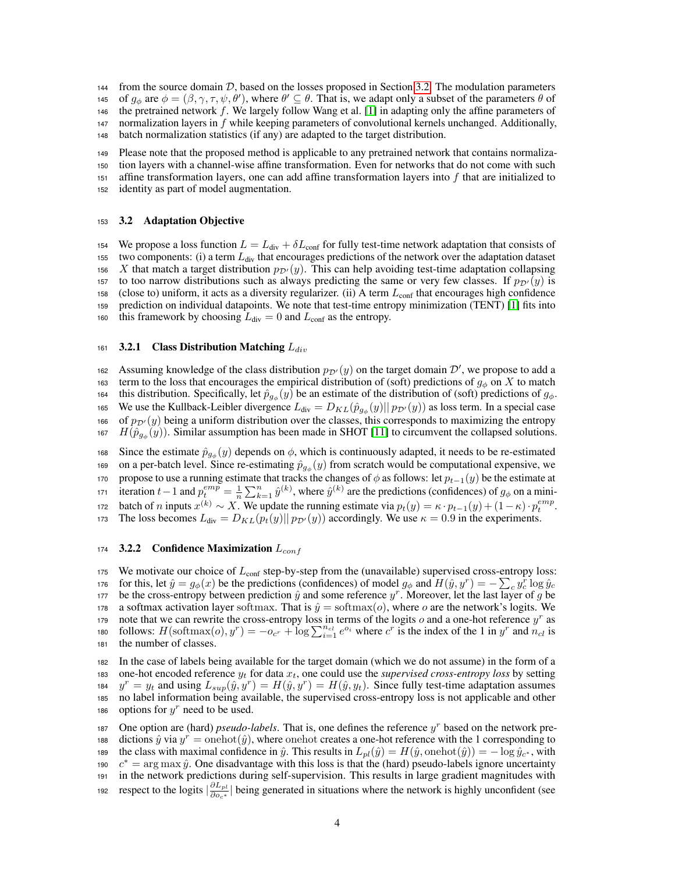144 from the source domain D, based on the losses proposed in Section [3.2.](#page-3-0) The modulation parameters  $\theta$  of  $a_{\phi}$  are  $\phi = (\beta, \gamma, \tau, \psi, \theta')$ , where  $\theta' \subset \theta$ . That is, we adapt only a subset of the parameters  $\theta$  of 145 of  $g_{\phi}$  are  $\phi = (\beta, \gamma, \tau, \psi, \theta')$ , where  $\theta' \subseteq \theta$ . That is, we adapt only a subset of the parameters  $\theta$  of <sup>146</sup> the pretrained network f. We largely follow Wang et al. [\[1\]](#page-9-0) in adapting only the affine parameters of 147 normalization layers in  $f$  while keeping parameters of convolutional kernels unchanged. Additionally, <sup>148</sup> batch normalization statistics (if any) are adapted to the target distribution.

 Please note that the proposed method is applicable to any pretrained network that contains normaliza- tion layers with a channel-wise affine transformation. Even for networks that do not come with such 151 affine transformation layers, one can add affine transformation layers into  $f$  that are initialized to identity as part of model augmentation.

#### <span id="page-3-0"></span><sup>153</sup> 3.2 Adaptation Objective

154 We propose a loss function  $L = L_{div} + \delta L_{conf}$  for fully test-time network adaptation that consists of 155 two components: (i) a term  $L_{div}$  that encourages predictions of the network over the adaptation dataset 156 X that match a target distribution  $p_{\mathcal{D}'}(y)$ . This can help avoiding test-time adaptation collapsing 157 to too narrow distributions such as always predicting the same or very few classes. If  $p_{\mathcal{D}'}(y)$  is  $158$  (close to) uniform, it acts as a diversity regularizer. (ii) A term  $L_{\text{conf}}$  that encourages high confidence <sup>159</sup> prediction on individual datapoints. We note that test-time entropy minimization (TENT) [\[1\]](#page-9-0) fits into 160 this framework by choosing  $L_{div} = 0$  and  $L_{conf}$  as the entropy.

#### <span id="page-3-2"></span>161 3.2.1 Class Distribution Matching  $L_{div}$

162 Assuming knowledge of the class distribution  $p_{\mathcal{D}'}(y)$  on the target domain  $\mathcal{D}'$ , we propose to add a 163 term to the loss that encourages the empirical distribution of (soft) predictions of  $g_{\phi}$  on X to match 164 this distribution. Specifically, let  $\hat{p}_{g\phi}(y)$  be an estimate of the distribution of (soft) predictions of  $g_{\phi}$ . 165 We use the Kullback-Leibler divergence  $L_{div} = D_{KL}(\hat{p}_{g\phi}(y)||p_{\mathcal{D}'}(y))$  as loss term. In a special case 166 of  $p_{\mathcal{D}'}(y)$  being a uniform distribution over the classes, this corresponds to maximizing the entropy 167  $H(\hat{p}_{g\phi}(y))$ . Similar assumption has been made in SHOT [\[11\]](#page-9-10) to circumvent the collapsed solutions.

168 Since the estimate  $\hat{p}_{g_{\phi}}(y)$  depends on  $\phi$ , which is continuously adapted, it needs to be re-estimated 169 on a per-batch level. Since re-estimating  $\hat{p}_{g_{\phi}}(y)$  from scratch would be computational expensive, we 170 propose to use a running estimate that tracks the changes of  $\phi$  as follows: let  $p_{t-1}(y)$  be the estimate at 171 iteration  $t-1$  and  $p_t^{emp} = \frac{1}{n} \sum_{k=1}^n \hat{y}^{(k)}$ , where  $\hat{y}^{(k)}$  are the predictions (confidences) of  $g_{\phi}$  on a mini-172 batch of *n* inputs  $x^{(k)} \sim X$ . We update the running estimate via  $p_t(y) = \kappa \cdot p_{t-1}(y) + (1 - \kappa) \cdot p_t^{emp}$ . 173 The loss becomes  $L_{div} = D_{KL}(p_t(y)||p_{\mathcal{D}'}(y))$  accordingly. We use  $\kappa = 0.9$  in the experiments.

#### <span id="page-3-1"></span>174 3.2.2 Confidence Maximization  $L_{conf}$

175 We motivate our choice of  $L_{\text{conf}}$  step-by-step from the (unavailable) supervised cross-entropy loss: 176 for this, let  $\hat{y} = g_{\phi}(x)$  be the predictions (confidences) of model  $g_{\phi}$  and  $H(\hat{y}, y^r) = -\sum_{c} y_c^r \log \hat{y}_c$ 177 be the cross-entropy between prediction  $\hat{y}$  and some reference  $y^r$ . Moreover, let the last layer of g be 178 a softmax activation layer softmax. That is  $\hat{y} = \text{softmax}(o)$ , where o are the network's logits. We 179 note that we can rewrite the cross-entropy loss in terms of the logits  $o$  and a one-hot reference  $y^r$  as 180 follows:  $H(\text{softmax}(o), y^r) = -o_{c^r} + \log \sum_{i=1}^{n_{cl}} e^{o_i}$  where  $c^r$  is the index of the 1 in  $y^r$  and  $n_{cl}$  is <sup>181</sup> the number of classes.

<sup>182</sup> In the case of labels being available for the target domain (which we do not assume) in the form of a 183 one-hot encoded reference  $y_t$  for data  $x_t$ , one could use the *supervised cross-entropy loss* by setting 184  $y^r = y_t$  and using  $L_{sup}(\hat{y}, y^r) = H(\hat{y}, y^r) = H(\hat{y}, y_t)$ . Since fully test-time adaptation assumes <sup>185</sup> no label information being available, the supervised cross-entropy loss is not applicable and other 186 options for  $y^r$  need to be used.

187 One option are (hard) *pseudo-labels*. That is, one defines the reference  $y<sup>r</sup>$  based on the network pre-188 dictions  $\hat{y}$  via  $y^r =$  onehot $(\hat{y})$ , where onehot creates a one-hot reference with the 1 corresponding to the class with maximal confidence in  $\hat{y}$ . This results in  $L_{pl}(\hat{y}) = H(\hat{y}, \text{onehot}(\hat{y})) = -\log \hat{y}_{c^*}$ , with  $e^* = \arg \max \hat{y}$ . One disadvantage with this loss is that the (hard) pseudo-labels ignore uncertainty  $c^*$  = arg max  $\hat{y}$ . One disadvantage with this loss is that the (hard) pseudo-labels ignore uncertainty <sup>191</sup> in the network predictions during self-supervision. This results in large gradient magnitudes with respect to the logits  $\left|\frac{\partial L_{pl}}{\partial o_{c^*}}\right|$ 192 respect to the logits  $\left|\frac{\partial L_{pl}}{\partial \rho_{c^*}}\right|$  being generated in situations where the network is highly unconfident (see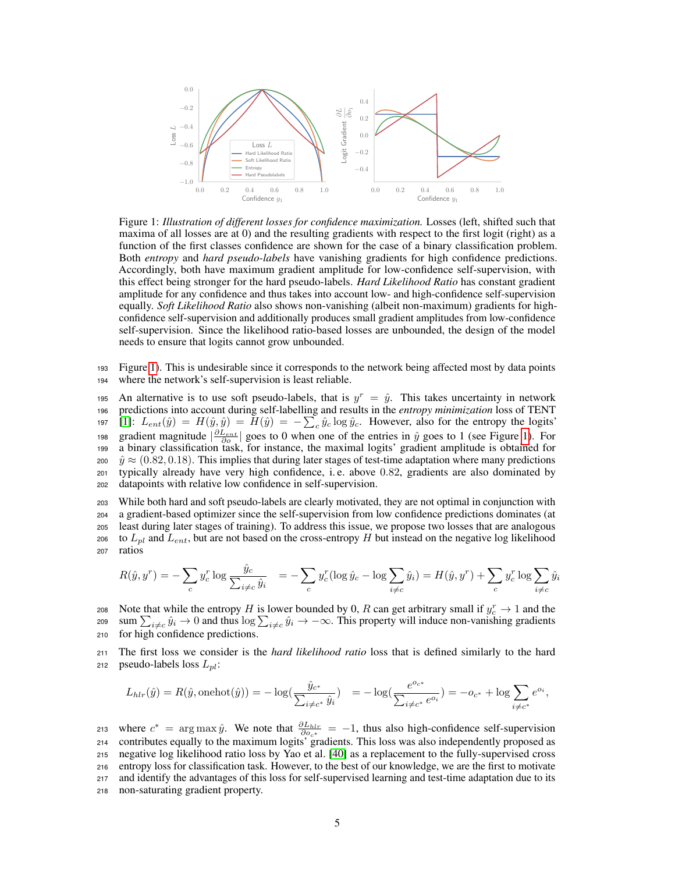<span id="page-4-0"></span>

Figure 1: *Illustration of different losses for confidence maximization.* Losses (left, shifted such that maxima of all losses are at 0) and the resulting gradients with respect to the first logit (right) as a function of the first classes confidence are shown for the case of a binary classification problem. Both *entropy* and *hard pseudo-labels* have vanishing gradients for high confidence predictions. Accordingly, both have maximum gradient amplitude for low-confidence self-supervision, with this effect being stronger for the hard pseudo-labels. *Hard Likelihood Ratio* has constant gradient amplitude for any confidence and thus takes into account low- and high-confidence self-supervision equally. *Soft Likelihood Ratio* also shows non-vanishing (albeit non-maximum) gradients for highconfidence self-supervision and additionally produces small gradient amplitudes from low-confidence self-supervision. Since the likelihood ratio-based losses are unbounded, the design of the model needs to ensure that logits cannot grow unbounded.

<sup>193</sup> Figure [1\)](#page-4-0). This is undesirable since it corresponds to the network being affected most by data points <sup>194</sup> where the network's self-supervision is least reliable.

195 An alternative is to use soft pseudo-labels, that is  $y^r = \hat{y}$ . This takes uncertainty in network predictions into account during self-labelling and results in the *entropy minimization* loss of TENT [\[1\]](#page-9-0):  $L_{ent}(\hat{y}) = H(\hat{y}, \hat{y}) = H(\hat{y}) = -\sum_{c} \hat{y}_{c} \log \hat{y}_{c}$ . However, also for the entropy the logits' 198 gradient magnitude  $\left|\frac{\partial L_{ent}}{\partial o}\right|$  goes to 0 when one of the entries in  $\hat{y}$  goes to 1 (see Figure [1\)](#page-4-0). For a binary classification task, for instance, the maximal logits' gradient amplitude is obtained for  $\hat{y} \approx (0.82, 0.18)$ . This implies that during later stages of test-time adaptation where many predictions <br>201 typically already have very high confidence i.e. above 0.82 gradients are also dominated by typically already have very high confidence, i.e. above 0.82, gradients are also dominated by datapoints with relative low confidence in self-supervision.

<sup>203</sup> While both hard and soft pseudo-labels are clearly motivated, they are not optimal in conjunction with <sup>204</sup> a gradient-based optimizer since the self-supervision from low confidence predictions dominates (at <sup>205</sup> least during later stages of training). To address this issue, we propose two losses that are analogous 206 to  $L_{pl}$  and  $L_{ent}$ , but are not based on the cross-entropy H but instead on the negative log likelihood <sup>207</sup> ratios

$$
R(\hat{y}, y^r) = -\sum_c y_c^r \log \frac{\hat{y}_c}{\sum_{i \neq c} \hat{y}_i} = -\sum_c y_c^r (\log \hat{y}_c - \log \sum_{i \neq c} \hat{y}_i) = H(\hat{y}, y^r) + \sum_c y_c^r \log \sum_{i \neq c} \hat{y}_i
$$

208 Note that while the entropy H is lower bounded by 0, R can get arbitrary small if  $y_c^r \to 1$  and the sum  $\sum_{i \neq c} \hat{y}_i \to 0$  and thus  $\log \sum_{i \neq c} \hat{y}_i \to -\infty$ . This property will induce non-vanishing gradients <sup>210</sup> for high confidence predictions.

<sup>211</sup> The first loss we consider is the *hard likelihood ratio* loss that is defined similarly to the hard 212 pseudo-labels loss  $L_{pl}$ :

$$
L_{hlr}(\hat{y}) = R(\hat{y}, \text{onehot}(\hat{y})) = -\log(\frac{\hat{y}_{c^*}}{\sum_{i \neq c^*} \hat{y}_i}) = -\log(\frac{e^{o_{c^*}}}{\sum_{i \neq c^*} e^{o_i}}) = -o_{c^*} + \log \sum_{i \neq c^*} e^{o_i},
$$

213 where  $c^* = \arg \max \hat{y}$ . We note that  $\frac{\partial L_{hlr}}{\partial o_{c^*}} = -1$ , thus also high-confidence self-supervision contributes equally to the maximum logits' gradients. This loss was also independently proposed as negative log likelihood ratio loss by Yao et al. [\[40\]](#page-11-4) as a replacement to the fully-supervised cross entropy loss for classification task. However, to the best of our knowledge, we are the first to motivate and identify the advantages of this loss for self-supervised learning and test-time adaptation due to its non-saturating gradient property.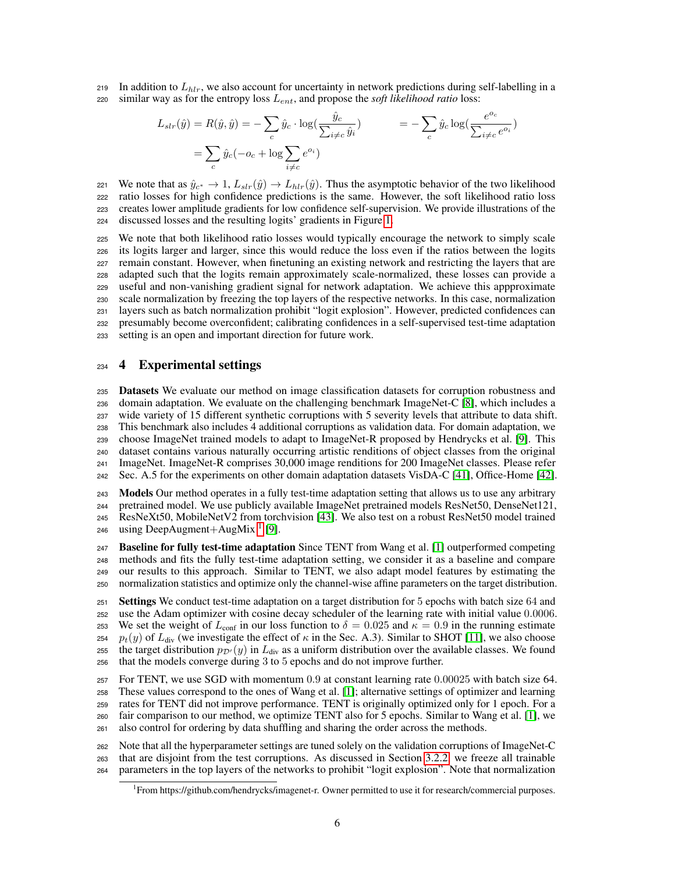219 In addition to  $L_{hlr}$ , we also account for uncertainty in network predictions during self-labelling in a  $220$  similar way as for the entropy loss  $L_{ent}$ , and propose the *soft likelihood ratio* loss:

$$
L_{slr}(\hat{y}) = R(\hat{y}, \hat{y}) = -\sum_{c} \hat{y}_c \cdot \log(\frac{\hat{y}_c}{\sum_{i \neq c} \hat{y}_i}) = -\sum_{c} \hat{y}_c \log(\frac{e^{o_c}}{\sum_{i \neq c} e^{o_i}})
$$

$$
= \sum_{c} \hat{y}_c (-o_c + \log \sum_{i \neq c} e^{o_i})
$$

221 • We note that as  $\hat{y}_{c^*}$  → 1,  $L_{slr}(\hat{y})$  →  $L_{hlr}(\hat{y})$ . Thus the asymptotic behavior of the two likelihood ratio losses for high confidence predictions is the same. However, the soft likelihood ratio loss ratio losses for high confidence predictions is the same. However, the soft likelihood ratio loss <sup>223</sup> creates lower amplitude gradients for low confidence self-supervision. We provide illustrations of the <sup>224</sup> discussed losses and the resulting logits' gradients in Figure [1.](#page-4-0)

 We note that both likelihood ratio losses would typically encourage the network to simply scale its logits larger and larger, since this would reduce the loss even if the ratios between the logits remain constant. However, when finetuning an existing network and restricting the layers that are adapted such that the logits remain approximately scale-normalized, these losses can provide a useful and non-vanishing gradient signal for network adaptation. We achieve this appproximate scale normalization by freezing the top layers of the respective networks. In this case, normalization layers such as batch normalization prohibit "logit explosion". However, predicted confidences can presumably become overconfident; calibrating confidences in a self-supervised test-time adaptation setting is an open and important direction for future work.

#### <span id="page-5-1"></span><sup>234</sup> 4 Experimental settings

 Datasets We evaluate our method on image classification datasets for corruption robustness and domain adaptation. We evaluate on the challenging benchmark ImageNet-C [\[8\]](#page-9-7), which includes a wide variety of 15 different synthetic corruptions with 5 severity levels that attribute to data shift. This benchmark also includes 4 additional corruptions as validation data. For domain adaptation, we choose ImageNet trained models to adapt to ImageNet-R proposed by Hendrycks et al. [\[9\]](#page-9-8). This dataset contains various naturally occurring artistic renditions of object classes from the original ImageNet. ImageNet-R comprises 30,000 image renditions for 200 ImageNet classes. Please refer Sec. A.5 for the experiments on other domain adaptation datasets VisDA-C [\[41\]](#page-11-5), Office-Home [\[42\]](#page-11-6).

**Models** Our method operates in a fully test-time adaptation setting that allows us to use any arbitrary pretrained model. We use publicly available ImageNet pretrained models ResNet50, DenseNet121, ResNeXt50, MobileNetV2 from torchvision [\[43\]](#page-11-7). We also test on a robust ResNet50 model trained 246 using DeepAugment+AugMix<sup>[1](#page-5-0)</sup> [\[9\]](#page-9-8).

**Baseline for fully test-time adaptation** Since TENT from Wang et al. [\[1\]](#page-9-0) outperformed competing methods and fits the fully test-time adaptation setting, we consider it as a baseline and compare our results to this approach. Similar to TENT, we also adapt model features by estimating the normalization statistics and optimize only the channel-wise affine parameters on the target distribution.

 Settings We conduct test-time adaptation on a target distribution for 5 epochs with batch size 64 and use the Adam optimizer with cosine decay scheduler of the learning rate with initial value 0.0006. 253 We set the weight of  $L_{\text{conf}}$  in our loss function to  $\delta = 0.025$  and  $\kappa = 0.9$  in the running estimate  $p_t(y)$  of  $L_{\text{div}}$  (we investigate the effect of  $\kappa$  in the Sec. A.3). Similar to SHOT [\[11\]](#page-9-10), we also choose 255 the target distribution  $p_{\mathcal{D}'}(y)$  in  $L_{\text{div}}$  as a uniform distribution over the available classes. We found that the models converge during 3 to 5 epochs and do not improve further.

 For TENT, we use SGD with momentum 0.9 at constant learning rate 0.00025 with batch size 64. These values correspond to the ones of Wang et al. [\[1\]](#page-9-0); alternative settings of optimizer and learning rates for TENT did not improve performance. TENT is originally optimized only for 1 epoch. For a fair comparison to our method, we optimize TENT also for 5 epochs. Similar to Wang et al. [\[1\]](#page-9-0), we also control for ordering by data shuffling and sharing the order across the methods.

<sup>262</sup> Note that all the hyperparameter settings are tuned solely on the validation corruptions of ImageNet-C <sup>263</sup> that are disjoint from the test corruptions. As discussed in Section [3.2.2,](#page-3-1) we freeze all trainable <sup>264</sup> parameters in the top layers of the networks to prohibit "logit explosion". Note that normalization

<span id="page-5-0"></span><sup>1</sup> From https://github.com/hendrycks/imagenet-r. Owner permitted to use it for research/commercial purposes.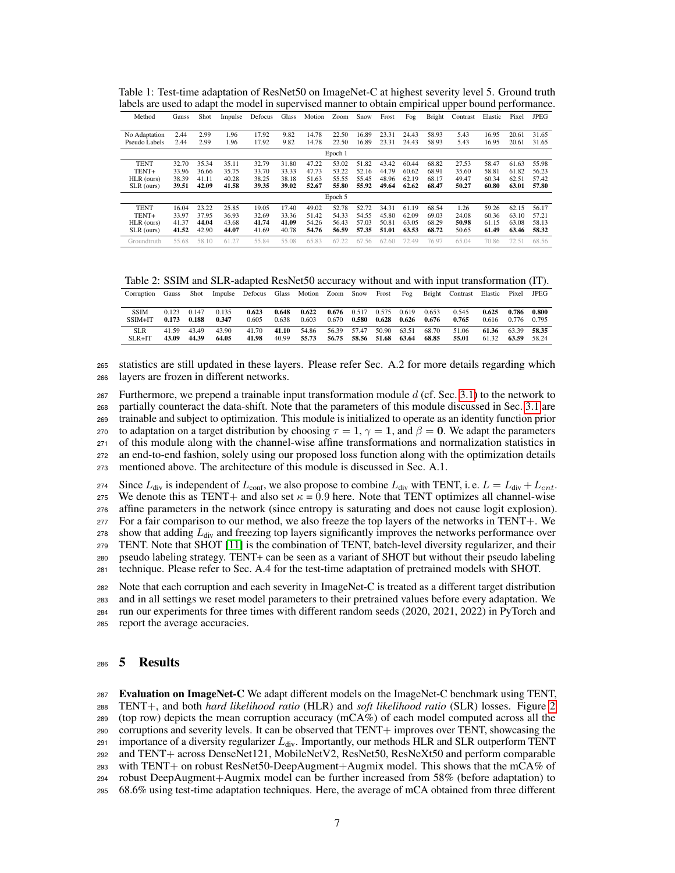| Method        | Gauss | Shot  | Impulse | Defocus | Glass | Motion | Zoom    | Snow  | Frost | Fog   | Bright | Contrast | Elastic | Pixel | <b>JPEG</b> |
|---------------|-------|-------|---------|---------|-------|--------|---------|-------|-------|-------|--------|----------|---------|-------|-------------|
|               |       |       |         |         |       |        |         |       |       |       |        |          |         |       |             |
| No Adaptation | 2.44  | 2.99  | 1.96    | 17.92   | 9.82  | 14.78  | 22.50   | 16.89 | 23.31 | 24.43 | 58.93  | 5.43     | 16.95   | 20.61 | 31.65       |
| Pseudo Labels | 2.44  | 2.99  | 1.96    | 17.92   | 9.82  | 14.78  | 22.50   | 16.89 | 23.31 | 24.43 | 58.93  | 5.43     | 16.95   | 20.61 | 31.65       |
|               |       |       |         |         |       |        | Epoch 1 |       |       |       |        |          |         |       |             |
| <b>TENT</b>   | 32.70 | 35.34 | 35.11   | 32.79   | 31.80 | 47.22  | 53.02   | 51.82 | 43.42 | 60.44 | 68.82  | 27.53    | 58.47   | 61.63 | 55.98       |
| TENT+         | 33.96 | 36.66 | 35.75   | 33.70   | 33.33 | 47.73  | 53.22   | 52.16 | 44.79 | 60.62 | 68.91  | 35.60    | 58.81   | 61.82 | 56.23       |
| HLR (ours)    | 38.39 | 41.11 | 40.28   | 38.25   | 38.18 | 51.63  | 55.55   | 55.45 | 48.96 | 62.19 | 68.17  | 49.47    | 60.34   | 62.51 | 57.42       |
| SLR (ours)    | 39.51 | 42.09 | 41.58   | 39.35   | 39.02 | 52.67  | 55.80   | 55.92 | 49.64 | 62.62 | 68.47  | 50.27    | 60.80   | 63.01 | 57.80       |
|               |       |       |         |         |       |        | Epoch 5 |       |       |       |        |          |         |       |             |
| <b>TENT</b>   | 16.04 | 23.22 | 25.85   | 19.05   | 17.40 | 49.02  | 52.78   | 52.72 | 34.31 | 61.19 | 68.54  | 1.26     | 59.26   | 62.15 | 56.17       |
| TENT+         | 33.97 | 37.95 | 36.93   | 32.69   | 33.36 | 51.42  | 54.33   | 54.55 | 45.80 | 62.09 | 69.03  | 24.08    | 60.36   | 63.10 | 57.21       |
| HLR (ours)    | 41.37 | 44.04 | 43.68   | 41.74   | 41.09 | 54.26  | 56.43   | 57.03 | 50.81 | 63.05 | 68.29  | 50.98    | 61.15   | 63.08 | 58.13       |
| SLR (ours)    | 41.52 | 42.90 | 44.07   | 41.69   | 40.78 | 54.76  | 56.59   | 57.35 | 51.01 | 63.53 | 68.72  | 50.65    | 61.49   | 63.46 | 58.32       |
| Groundtruth   | 55.68 | 58.10 | 61.27   | 55.84   | 55.08 | 65.83  | 67.22   | 67.56 | 62.60 | 72.49 | 76.97  | 65.04    | 70.86   | 72.51 | 68.56       |

<span id="page-6-0"></span>Table 1: Test-time adaptation of ResNet50 on ImageNet-C at highest severity level 5. Ground truth labels are used to adapt the model in supervised manner to obtain empirical upper bound performance.

<span id="page-6-1"></span>Table 2: SSIM and SLR-adapted ResNet50 accuracy without and with input transformation (IT).

| Corruption  | Gauss |                 |       | Shot Impulse Defocus Glass Motion Zoom Snow Frost |       |       |       |                                 |             | Fog |                         | Bright Contrast Elastic Pixel |                   |       | JPEG  |
|-------------|-------|-----------------|-------|---------------------------------------------------|-------|-------|-------|---------------------------------|-------------|-----|-------------------------|-------------------------------|-------------------|-------|-------|
|             |       |                 |       |                                                   |       |       |       |                                 |             |     |                         |                               |                   |       |       |
| <b>SSIM</b> |       | $0.123$ $0.147$ | 0.135 | 0.623                                             | 0.648 | 0.622 |       | $0.676$ $0.517$ $0.575$ $0.619$ |             |     | 0.653                   | 0.545                         | $0.625$ 0.786     |       | 0.800 |
| $SSIM+IT$   |       | $0.173$ $0.188$ | 0.347 | 0.605                                             | 0.638 | 0.603 | 0.670 | 0.580                           |             |     | $0.628$ $0.626$ $0.676$ | 0.765                         | 0.616 0.776 0.795 |       |       |
| <b>SLR</b>  | 41.59 | 43.49           | 43.90 | 41.70                                             | 41.10 | 54.86 |       | 56.39 57.47                     | 50.90 63.51 |     | 68.70                   | 51.06                         | 61.36 63.39 58.35 |       |       |
| $SLR+IT$    | 43.09 | 44.39           | 64.05 | 41.98                                             | 40.99 | 55.73 |       | 56.75 58.56 51.68 63.64         |             |     | 68.85                   | 55.01                         | 61.32             | 63.59 | 58.24 |

<sup>265</sup> statistics are still updated in these layers. Please refer Sec. A.2 for more details regarding which <sup>266</sup> layers are frozen in different networks.

267 Furthermore, we prepend a trainable input transformation module  $d$  (cf. Sec. [3.1\)](#page-2-0) to the network to partially counteract the data-shift. Note that the parameters of this module discussed in Sec. [3.1](#page-2-0) are trainable and subject to optimization. This module is initialized to operate as an identity function prior 270 to adaptation on a target distribution by choosing  $\tau = 1$ ,  $\gamma = 1$ , and  $\beta = 0$ . We adapt the parameters of this module along with the channel-wise affine transformations and normalization statistics in an end-to-end fashion, solely using our proposed loss function along with the optimization details mentioned above. The architecture of this module is discussed in Sec. A.1.

274 Since  $L_{div}$  is independent of  $L_{conf}$ , we also propose to combine  $L_{div}$  with TENT, i. e.  $L = L_{div} + L_{ent}$ . 275 We denote this as TENT+ and also set  $\kappa = 0.9$  here. Note that TENT optimizes all channel-wise <sup>276</sup> affine parameters in the network (since entropy is saturating and does not cause logit explosion).  $277$  For a fair comparison to our method, we also freeze the top layers of the networks in TENT+. We 278 show that adding  $L_{div}$  and freezing top layers significantly improves the networks performance over <sup>279</sup> TENT. Note that SHOT [\[11\]](#page-9-10) is the combination of TENT, batch-level diversity regularizer, and their <sup>280</sup> pseudo labeling strategy. TENT+ can be seen as a variant of SHOT but without their pseudo labeling

<sup>281</sup> technique. Please refer to Sec. A.4 for the test-time adaptation of pretrained models with SHOT.

 Note that each corruption and each severity in ImageNet-C is treated as a different target distribution and in all settings we reset model parameters to their pretrained values before every adaptation. We run our experiments for three times with different random seeds (2020, 2021, 2022) in PyTorch and report the average accuracies.

# <sup>286</sup> 5 Results

 Evaluation on ImageNet-C We adapt different models on the ImageNet-C benchmark using TENT, TENT+, and both *hard likelihood ratio* (HLR) and *soft likelihood ratio* (SLR) losses. Figure [2](#page-7-0) (top row) depicts the mean corruption accuracy (mCA%) of each model computed across all the corruptions and severity levels. It can be observed that TENT $+$  improves over TENT, showcasing the  $_{291}$  importance of a diversity regularizer  $L_{div}$ . Importantly, our methods HLR and SLR outperform TENT and TENT+ across DenseNet121, MobileNetV2, ResNet50, ResNeXt50 and perform comparable with TENT+ on robust ResNet50-DeepAugment+Augmix model. This shows that the mCA% of robust DeepAugment+Augmix model can be further increased from 58% (before adaptation) to 68.6% using test-time adaptation techniques. Here, the average of mCA obtained from three different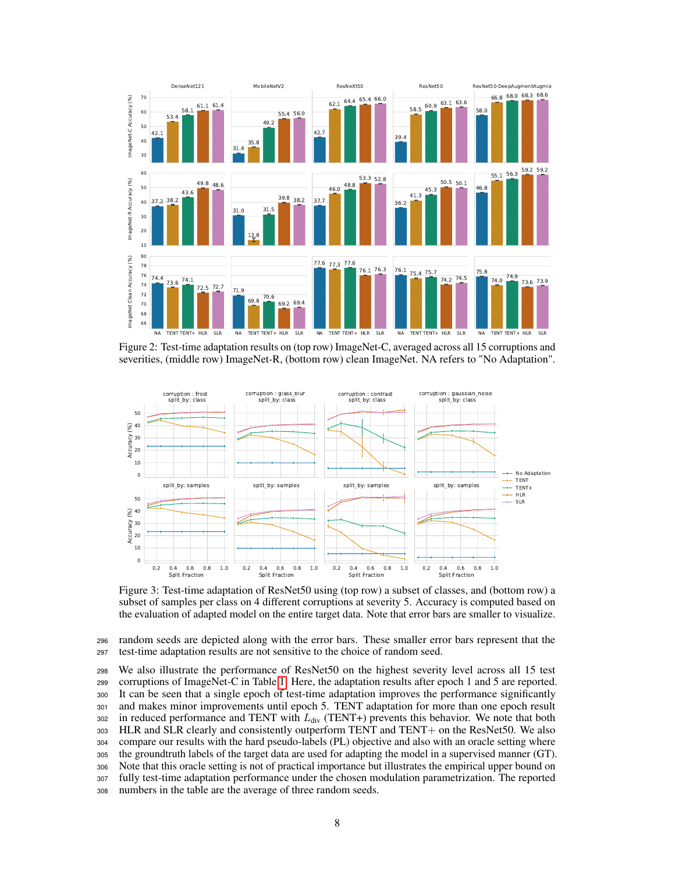<span id="page-7-0"></span>

Figure 2: Test-time adaptation results on (top row) ImageNet-C, averaged across all 15 corruptions and severities, (middle row) ImageNet-R, (bottom row) clean ImageNet. NA refers to "No Adaptation".

<span id="page-7-1"></span>

Figure 3: Test-time adaptation of ResNet50 using (top row) a subset of classes, and (bottom row) a subset of samples per class on 4 different corruptions at severity 5. Accuracy is computed based on the evaluation of adapted model on the entire target data. Note that error bars are smaller to visualize.

<sup>296</sup> random seeds are depicted along with the error bars. These smaller error bars represent that the <sup>297</sup> test-time adaptation results are not sensitive to the choice of random seed.

 We also illustrate the performance of ResNet50 on the highest severity level across all 15 test corruptions of ImageNet-C in Table [1.](#page-6-0) Here, the adaptation results after epoch 1 and 5 are reported. It can be seen that a single epoch of test-time adaptation improves the performance significantly and makes minor improvements until epoch 5. TENT adaptation for more than one epoch result 302 in reduced performance and TENT with  $L_{div}$  (TENT+) prevents this behavior. We note that both HLR and SLR clearly and consistently outperform TENT and TENT+ on the ResNet50. We also compare our results with the hard pseudo-labels (PL) objective and also with an oracle setting where the groundtruth labels of the target data are used for adapting the model in a supervised manner (GT). Note that this oracle setting is not of practical importance but illustrates the empirical upper bound on fully test-time adaptation performance under the chosen modulation parametrization. The reported numbers in the table are the average of three random seeds.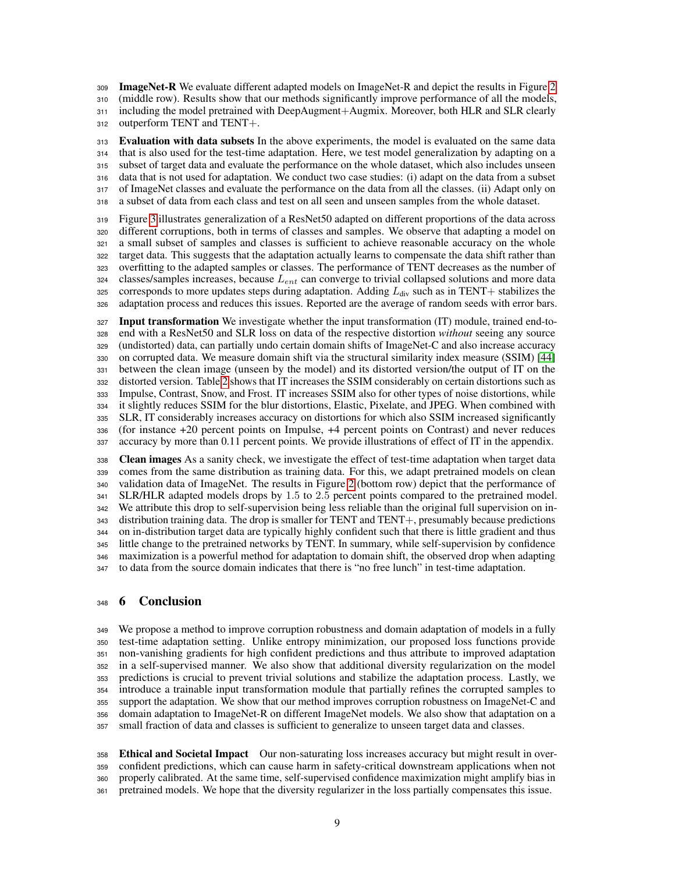**ImageNet-R** We evaluate different adapted models on ImageNet-R and depict the results in Figure [2](#page-7-0) (middle row). Results show that our methods significantly improve performance of all the models, including the model pretrained with DeepAugment+Augmix. Moreover, both HLR and SLR clearly outperform TENT and TENT+.

 Evaluation with data subsets In the above experiments, the model is evaluated on the same data that is also used for the test-time adaptation. Here, we test model generalization by adapting on a subset of target data and evaluate the performance on the whole dataset, which also includes unseen data that is not used for adaptation. We conduct two case studies: (i) adapt on the data from a subset of ImageNet classes and evaluate the performance on the data from all the classes. (ii) Adapt only on a subset of data from each class and test on all seen and unseen samples from the whole dataset.

 Figure [3](#page-7-1) illustrates generalization of a ResNet50 adapted on different proportions of the data across different corruptions, both in terms of classes and samples. We observe that adapting a model on a small subset of samples and classes is sufficient to achieve reasonable accuracy on the whole target data. This suggests that the adaptation actually learns to compensate the data shift rather than overfitting to the adapted samples or classes. The performance of TENT decreases as the number of classes/samples increases, because  $L_{ent}$  can converge to trivial collapsed solutions and more data 325 corresponds to more updates steps during adaptation. Adding  $L_{div}$  such as in TENT+ stabilizes the adaptation process and reduces this issues. Reported are the average of random seeds with error bars.

327 Input transformation We investigate whether the input transformation (IT) module, trained end-to- end with a ResNet50 and SLR loss on data of the respective distortion *without* seeing any source (undistorted) data, can partially undo certain domain shifts of ImageNet-C and also increase accuracy on corrupted data. We measure domain shift via the structural similarity index measure (SSIM) [\[44\]](#page-11-8) between the clean image (unseen by the model) and its distorted version/the output of IT on the distorted version. Table [2](#page-6-1) shows that IT increases the SSIM considerably on certain distortions such as Impulse, Contrast, Snow, and Frost. IT increases SSIM also for other types of noise distortions, while it slightly reduces SSIM for the blur distortions, Elastic, Pixelate, and JPEG. When combined with SLR, IT considerably increases accuracy on distortions for which also SSIM increased significantly (for instance +20 percent points on Impulse, +4 percent points on Contrast) and never reduces accuracy by more than 0.11 percent points. We provide illustrations of effect of IT in the appendix.

338 Clean images As a sanity check, we investigate the effect of test-time adaptation when target data comes from the same distribution as training data. For this, we adapt pretrained models on clean validation data of ImageNet. The results in Figure [2](#page-7-0) (bottom row) depict that the performance of SLR/HLR adapted models drops by 1.5 to 2.5 percent points compared to the pretrained model. We attribute this drop to self-supervision being less reliable than the original full supervision on in- distribution training data. The drop is smaller for TENT and TENT+, presumably because predictions on in-distribution target data are typically highly confident such that there is little gradient and thus little change to the pretrained networks by TENT. In summary, while self-supervision by confidence maximization is a powerful method for adaptation to domain shift, the observed drop when adapting to data from the source domain indicates that there is "no free lunch" in test-time adaptation.

## <span id="page-8-0"></span>6 Conclusion

 We propose a method to improve corruption robustness and domain adaptation of models in a fully test-time adaptation setting. Unlike entropy minimization, our proposed loss functions provide non-vanishing gradients for high confident predictions and thus attribute to improved adaptation in a self-supervised manner. We also show that additional diversity regularization on the model predictions is crucial to prevent trivial solutions and stabilize the adaptation process. Lastly, we introduce a trainable input transformation module that partially refines the corrupted samples to support the adaptation. We show that our method improves corruption robustness on ImageNet-C and domain adaptation to ImageNet-R on different ImageNet models. We also show that adaptation on a small fraction of data and classes is sufficient to generalize to unseen target data and classes.

 Ethical and Societal Impact Our non-saturating loss increases accuracy but might result in over- confident predictions, which can cause harm in safety-critical downstream applications when not properly calibrated. At the same time, self-supervised confidence maximization might amplify bias in pretrained models. We hope that the diversity regularizer in the loss partially compensates this issue.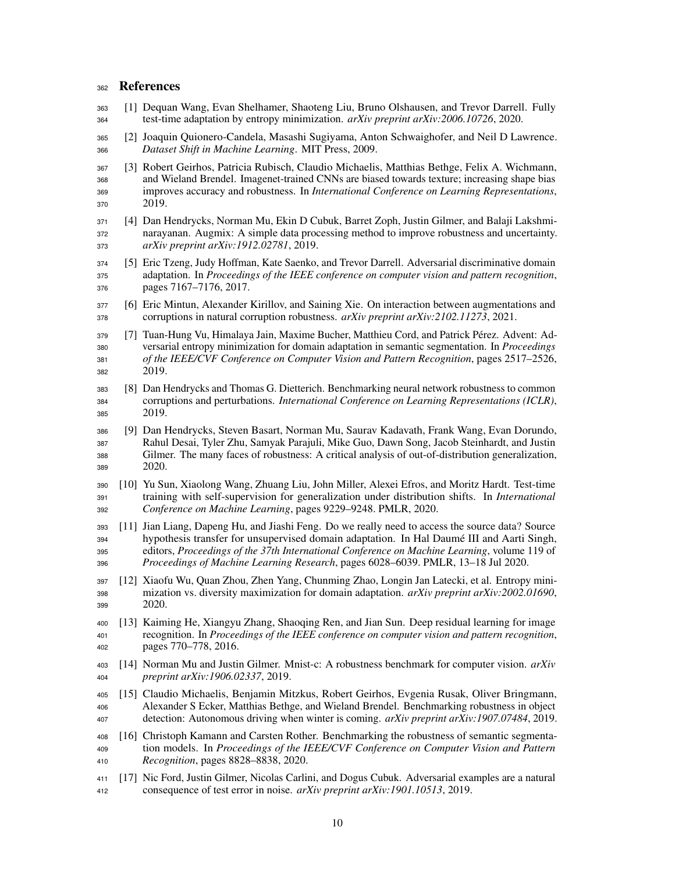## 362 References

- <span id="page-9-0"></span> [1] Dequan Wang, Evan Shelhamer, Shaoteng Liu, Bruno Olshausen, and Trevor Darrell. Fully test-time adaptation by entropy minimization. *arXiv preprint arXiv:2006.10726*, 2020.
- <span id="page-9-1"></span> [2] Joaquin Quionero-Candela, Masashi Sugiyama, Anton Schwaighofer, and Neil D Lawrence. *Dataset Shift in Machine Learning*. MIT Press, 2009.
- <span id="page-9-2"></span> [3] Robert Geirhos, Patricia Rubisch, Claudio Michaelis, Matthias Bethge, Felix A. Wichmann, and Wieland Brendel. Imagenet-trained CNNs are biased towards texture; increasing shape bias improves accuracy and robustness. In *International Conference on Learning Representations*, 2019.
- <span id="page-9-3"></span> [4] Dan Hendrycks, Norman Mu, Ekin D Cubuk, Barret Zoph, Justin Gilmer, and Balaji Lakshmi- narayanan. Augmix: A simple data processing method to improve robustness and uncertainty. *arXiv preprint arXiv:1912.02781*, 2019.
- <span id="page-9-4"></span> [5] Eric Tzeng, Judy Hoffman, Kate Saenko, and Trevor Darrell. Adversarial discriminative domain adaptation. In *Proceedings of the IEEE conference on computer vision and pattern recognition*, pages 7167–7176, 2017.
- <span id="page-9-5"></span> [6] Eric Mintun, Alexander Kirillov, and Saining Xie. On interaction between augmentations and corruptions in natural corruption robustness. *arXiv preprint arXiv:2102.11273*, 2021.
- <span id="page-9-6"></span> [7] Tuan-Hung Vu, Himalaya Jain, Maxime Bucher, Matthieu Cord, and Patrick Pérez. Advent: Ad- versarial entropy minimization for domain adaptation in semantic segmentation. In *Proceedings of the IEEE/CVF Conference on Computer Vision and Pattern Recognition*, pages 2517–2526, 2019.
- <span id="page-9-7"></span> [8] Dan Hendrycks and Thomas G. Dietterich. Benchmarking neural network robustness to common corruptions and perturbations. *International Conference on Learning Representations (ICLR)*, 2019.
- <span id="page-9-8"></span> [9] Dan Hendrycks, Steven Basart, Norman Mu, Saurav Kadavath, Frank Wang, Evan Dorundo, Rahul Desai, Tyler Zhu, Samyak Parajuli, Mike Guo, Dawn Song, Jacob Steinhardt, and Justin Gilmer. The many faces of robustness: A critical analysis of out-of-distribution generalization, 2020.
- <span id="page-9-9"></span> [10] Yu Sun, Xiaolong Wang, Zhuang Liu, John Miller, Alexei Efros, and Moritz Hardt. Test-time training with self-supervision for generalization under distribution shifts. In *International Conference on Machine Learning*, pages 9229–9248. PMLR, 2020.
- <span id="page-9-10"></span> [11] Jian Liang, Dapeng Hu, and Jiashi Feng. Do we really need to access the source data? Source hypothesis transfer for unsupervised domain adaptation. In Hal Daumé III and Aarti Singh, editors, *Proceedings of the 37th International Conference on Machine Learning*, volume 119 of *Proceedings of Machine Learning Research*, pages 6028–6039. PMLR, 13–18 Jul 2020.
- <span id="page-9-11"></span> [12] Xiaofu Wu, Quan Zhou, Zhen Yang, Chunming Zhao, Longin Jan Latecki, et al. Entropy mini- mization vs. diversity maximization for domain adaptation. *arXiv preprint arXiv:2002.01690*, 2020.
- <span id="page-9-12"></span> [13] Kaiming He, Xiangyu Zhang, Shaoqing Ren, and Jian Sun. Deep residual learning for image recognition. In *Proceedings of the IEEE conference on computer vision and pattern recognition*, pages 770–778, 2016.
- <span id="page-9-13"></span> [14] Norman Mu and Justin Gilmer. Mnist-c: A robustness benchmark for computer vision. *arXiv preprint arXiv:1906.02337*, 2019.
- <span id="page-9-14"></span> [15] Claudio Michaelis, Benjamin Mitzkus, Robert Geirhos, Evgenia Rusak, Oliver Bringmann, Alexander S Ecker, Matthias Bethge, and Wieland Brendel. Benchmarking robustness in object detection: Autonomous driving when winter is coming. *arXiv preprint arXiv:1907.07484*, 2019.
- <span id="page-9-15"></span> [16] Christoph Kamann and Carsten Rother. Benchmarking the robustness of semantic segmenta- tion models. In *Proceedings of the IEEE/CVF Conference on Computer Vision and Pattern Recognition*, pages 8828–8838, 2020.
- <span id="page-9-16"></span> [17] Nic Ford, Justin Gilmer, Nicolas Carlini, and Dogus Cubuk. Adversarial examples are a natural consequence of test error in noise. *arXiv preprint arXiv:1901.10513*, 2019.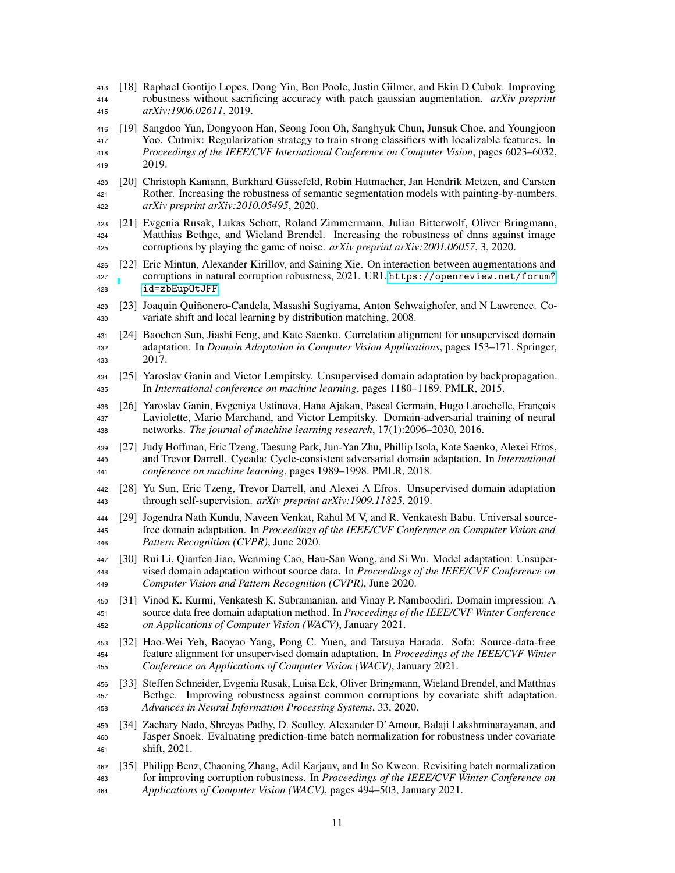- <span id="page-10-0"></span> [18] Raphael Gontijo Lopes, Dong Yin, Ben Poole, Justin Gilmer, and Ekin D Cubuk. Improving robustness without sacrificing accuracy with patch gaussian augmentation. *arXiv preprint arXiv:1906.02611*, 2019.
- <span id="page-10-1"></span> [19] Sangdoo Yun, Dongyoon Han, Seong Joon Oh, Sanghyuk Chun, Junsuk Choe, and Youngjoon Yoo. Cutmix: Regularization strategy to train strong classifiers with localizable features. In *Proceedings of the IEEE/CVF International Conference on Computer Vision*, pages 6023–6032, 2019.
- <span id="page-10-2"></span> [20] Christoph Kamann, Burkhard Güssefeld, Robin Hutmacher, Jan Hendrik Metzen, and Carsten Rother. Increasing the robustness of semantic segmentation models with painting-by-numbers. *arXiv preprint arXiv:2010.05495*, 2020.
- <span id="page-10-3"></span> [21] Evgenia Rusak, Lukas Schott, Roland Zimmermann, Julian Bitterwolf, Oliver Bringmann, Matthias Bethge, and Wieland Brendel. Increasing the robustness of dnns against image corruptions by playing the game of noise. *arXiv preprint arXiv:2001.06057*, 3, 2020.
- <span id="page-10-4"></span> [22] Eric Mintun, Alexander Kirillov, and Saining Xie. On interaction between augmentations and corruptions in natural corruption robustness, 2021. URL [https://openreview.net/forum?](https://openreview.net/forum?id=zbEupOtJFF) [id=zbEupOtJFF](https://openreview.net/forum?id=zbEupOtJFF).
- <span id="page-10-5"></span> [23] Joaquin Quiñonero-Candela, Masashi Sugiyama, Anton Schwaighofer, and N Lawrence. Co-variate shift and local learning by distribution matching, 2008.
- <span id="page-10-6"></span> [24] Baochen Sun, Jiashi Feng, and Kate Saenko. Correlation alignment for unsupervised domain adaptation. In *Domain Adaptation in Computer Vision Applications*, pages 153–171. Springer, 2017.
- <span id="page-10-7"></span> [25] Yaroslav Ganin and Victor Lempitsky. Unsupervised domain adaptation by backpropagation. In *International conference on machine learning*, pages 1180–1189. PMLR, 2015.
- <span id="page-10-8"></span> [26] Yaroslav Ganin, Evgeniya Ustinova, Hana Ajakan, Pascal Germain, Hugo Larochelle, François Laviolette, Mario Marchand, and Victor Lempitsky. Domain-adversarial training of neural networks. *The journal of machine learning research*, 17(1):2096–2030, 2016.
- <span id="page-10-9"></span> [27] Judy Hoffman, Eric Tzeng, Taesung Park, Jun-Yan Zhu, Phillip Isola, Kate Saenko, Alexei Efros, and Trevor Darrell. Cycada: Cycle-consistent adversarial domain adaptation. In *International conference on machine learning*, pages 1989–1998. PMLR, 2018.
- <span id="page-10-10"></span> [28] Yu Sun, Eric Tzeng, Trevor Darrell, and Alexei A Efros. Unsupervised domain adaptation through self-supervision. *arXiv preprint arXiv:1909.11825*, 2019.
- <span id="page-10-11"></span> [29] Jogendra Nath Kundu, Naveen Venkat, Rahul M V, and R. Venkatesh Babu. Universal source- free domain adaptation. In *Proceedings of the IEEE/CVF Conference on Computer Vision and Pattern Recognition (CVPR)*, June 2020.
- <span id="page-10-12"></span> [30] Rui Li, Qianfen Jiao, Wenming Cao, Hau-San Wong, and Si Wu. Model adaptation: Unsuper- vised domain adaptation without source data. In *Proceedings of the IEEE/CVF Conference on Computer Vision and Pattern Recognition (CVPR)*, June 2020.
- <span id="page-10-13"></span> [31] Vinod K. Kurmi, Venkatesh K. Subramanian, and Vinay P. Namboodiri. Domain impression: A source data free domain adaptation method. In *Proceedings of the IEEE/CVF Winter Conference on Applications of Computer Vision (WACV)*, January 2021.
- <span id="page-10-14"></span> [32] Hao-Wei Yeh, Baoyao Yang, Pong C. Yuen, and Tatsuya Harada. Sofa: Source-data-free feature alignment for unsupervised domain adaptation. In *Proceedings of the IEEE/CVF Winter Conference on Applications of Computer Vision (WACV)*, January 2021.
- <span id="page-10-15"></span> [33] Steffen Schneider, Evgenia Rusak, Luisa Eck, Oliver Bringmann, Wieland Brendel, and Matthias Bethge. Improving robustness against common corruptions by covariate shift adaptation. *Advances in Neural Information Processing Systems*, 33, 2020.
- <span id="page-10-16"></span> [34] Zachary Nado, Shreyas Padhy, D. Sculley, Alexander D'Amour, Balaji Lakshminarayanan, and Jasper Snoek. Evaluating prediction-time batch normalization for robustness under covariate shift, 2021.
- <span id="page-10-17"></span> [35] Philipp Benz, Chaoning Zhang, Adil Karjauv, and In So Kweon. Revisiting batch normalization for improving corruption robustness. In *Proceedings of the IEEE/CVF Winter Conference on Applications of Computer Vision (WACV)*, pages 494–503, January 2021.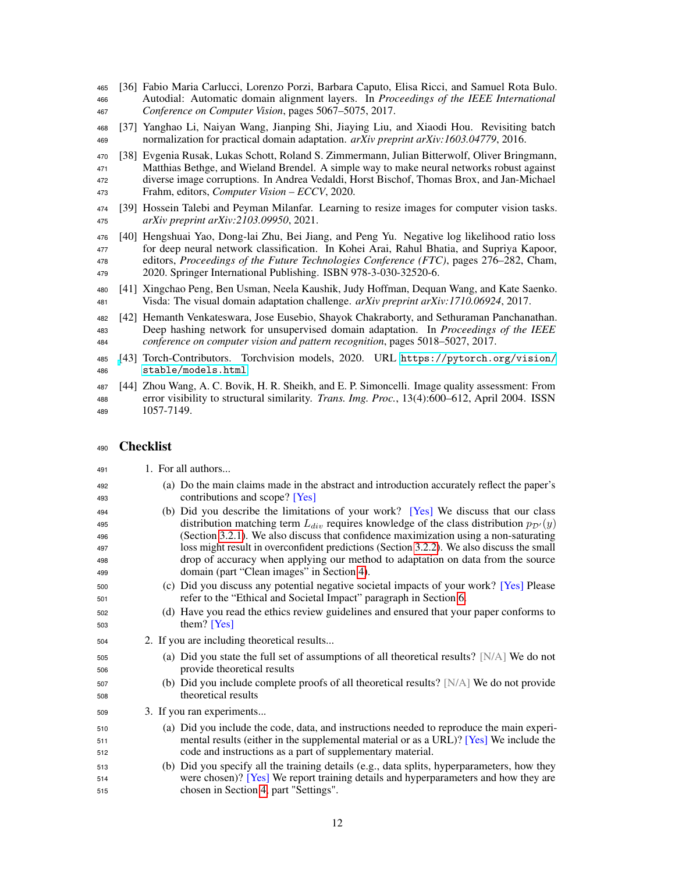- <span id="page-11-0"></span> [36] Fabio Maria Carlucci, Lorenzo Porzi, Barbara Caputo, Elisa Ricci, and Samuel Rota Bulo. Autodial: Automatic domain alignment layers. In *Proceedings of the IEEE International Conference on Computer Vision*, pages 5067–5075, 2017.
- <span id="page-11-1"></span> [37] Yanghao Li, Naiyan Wang, Jianping Shi, Jiaying Liu, and Xiaodi Hou. Revisiting batch normalization for practical domain adaptation. *arXiv preprint arXiv:1603.04779*, 2016.
- <span id="page-11-2"></span> [38] Evgenia Rusak, Lukas Schott, Roland S. Zimmermann, Julian Bitterwolf, Oliver Bringmann, Matthias Bethge, and Wieland Brendel. A simple way to make neural networks robust against diverse image corruptions. In Andrea Vedaldi, Horst Bischof, Thomas Brox, and Jan-Michael Frahm, editors, *Computer Vision – ECCV*, 2020.
- <span id="page-11-3"></span> [39] Hossein Talebi and Peyman Milanfar. Learning to resize images for computer vision tasks. *arXiv preprint arXiv:2103.09950*, 2021.
- <span id="page-11-4"></span> [40] Hengshuai Yao, Dong-lai Zhu, Bei Jiang, and Peng Yu. Negative log likelihood ratio loss for deep neural network classification. In Kohei Arai, Rahul Bhatia, and Supriya Kapoor, editors, *Proceedings of the Future Technologies Conference (FTC)*, pages 276–282, Cham, 2020. Springer International Publishing. ISBN 978-3-030-32520-6.
- <span id="page-11-5"></span> [41] Xingchao Peng, Ben Usman, Neela Kaushik, Judy Hoffman, Dequan Wang, and Kate Saenko. Visda: The visual domain adaptation challenge. *arXiv preprint arXiv:1710.06924*, 2017.
- <span id="page-11-6"></span> [42] Hemanth Venkateswara, Jose Eusebio, Shayok Chakraborty, and Sethuraman Panchanathan. Deep hashing network for unsupervised domain adaptation. In *Proceedings of the IEEE conference on computer vision and pattern recognition*, pages 5018–5027, 2017.
- <span id="page-11-7"></span> [\[](https://pytorch.org/vision/stable/models.html)43] Torch-Contributors. Torchvision models, 2020. URL [https://pytorch.org/vision/](https://pytorch.org/vision/stable/models.html) [stable/models.html](https://pytorch.org/vision/stable/models.html).
- <span id="page-11-8"></span> [44] Zhou Wang, A. C. Bovik, H. R. Sheikh, and E. P. Simoncelli. Image quality assessment: From error visibility to structural similarity. *Trans. Img. Proc.*, 13(4):600–612, April 2004. ISSN 1057-7149.

## Checklist

- 1. For all authors...
- (a) Do the main claims made in the abstract and introduction accurately reflect the paper's 493 contributions and scope? [Yes]
- (b) Did you describe the limitations of your work? [Yes] We discuss that our class 495 distribution matching term  $L_{div}$  requires knowledge of the class distribution  $p_{\mathcal{D}'}(y)$  (Section [3.2.1\)](#page-3-2). We also discuss that confidence maximization using a non-saturating loss might result in overconfident predictions (Section [3.2.2\)](#page-3-1). We also discuss the small drop of accuracy when applying our method to adaptation on data from the source domain (part "Clean images" in Section [4\)](#page-5-1).
- (c) Did you discuss any potential negative societal impacts of your work? [Yes] Please refer to the "Ethical and Societal Impact" paragraph in Section [6.](#page-8-0)
- (d) Have you read the ethics review guidelines and ensured that your paper conforms to them? [Yes]
- 2. If you are including theoretical results...
- $\overline{\text{505}}$  (a) Did you state the full set of assumptions of all theoretical results? [N/A] We do not provide theoretical results
- (b) Did you include complete proofs of all theoretical results? [N/A] We do not provide theoretical results
- 3. If you ran experiments...
- (a) Did you include the code, data, and instructions needed to reproduce the main experi- mental results (either in the supplemental material or as a URL)? [Yes] We include the code and instructions as a part of supplementary material.
- (b) Did you specify all the training details (e.g., data splits, hyperparameters, how they were chosen)? [Yes] We report training details and hyperparameters and how they are chosen in Section [4,](#page-5-1) part "Settings".